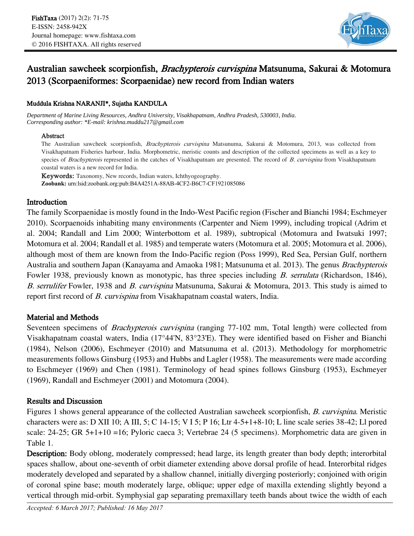

# Australian sawcheek scorpionfish, Brachypterois curvispina Matsunuma, Sakurai & Motomura 2013 (Scorpaeniformes: Scorpaenidae) new record from Indian waters

# Muddula Krishna NARANJI\*, Sujatha KANDULA

*Department of Marine Living Resources, Andhra University, Visakhapatnam, Andhra Pradesh, 530003, India. Corresponding author: \*E-mail: krishna.muddu217@gmail.com*

### Abstract

The Australian sawcheek scorpionfish, Brachypterois curvispina Matsunuma, Sakurai & Motomura, 2013, was collected from Visakhapatnam Fisheries harbour, India. Morphometric, meristic counts and description of the collected specimens as well as a key to species of Brachypterois represented in the catches of Visakhapatnam are presented. The record of B. curvispina from Visakhapatnam coastal waters is a new record for India.

Keywords: Taxonomy, New records, Indian waters, Ichthyogeography. **Zoobank:** urn:lsid:zoobank.org:pub:B4A4251A-88AB-4CF2-B6C7-CF1921085086

### Introduction

The family Scorpaenidae is mostly found in the Indo-West Pacific region (Fischer and Bianchi 1984; Eschmeyer 2010). Scorpaenoids inhabiting many environments (Carpenter and Niem 1999), including tropical (Adrim et al. 2004; Randall and Lim 2000; Winterbottom et al. 1989), subtropical (Motomura and Iwatsuki 1997; Motomura et al. 2004; Randall et al. 1985) and temperate waters (Motomura et al. 2005; Motomura et al. 2006), although most of them are known from the Indo-Pacific region (Poss 1999), Red Sea, Persian Gulf, northern Australia and southern Japan (Kanayama and Amaoka 1981; Matsunuma et al. 2013). The genus Brachypterois Fowler 1938, previously known as monotypic, has three species including *B. serrulata* (Richardson, 1846), B. serrulifer Fowler, 1938 and B. curvispina Matsunuma, Sakurai & Motomura, 2013. This study is aimed to report first record of *B. curvispina* from Visakhapatnam coastal waters, India.

# Material and Methods

Seventeen specimens of *Brachypterois curvispina* (ranging 77-102 mm, Total length) were collected from Visakhapatnam coastal waters, India (17°44'N, 83°23'E). They were identified based on Fisher and Bianchi (1984), Nelson (2006), Eschmeyer (2010) and Matsunuma et al. (2013). Methodology for morphometric measurements follows Ginsburg (1953) and Hubbs and Lagler (1958). The measurements were made according to Eschmeyer (1969) and Chen (1981). Terminology of head spines follows Ginsburg (1953), Eschmeyer (1969), Randall and Eschmeyer (2001) and Motomura (2004).

# Results and Discussion

Figures 1 shows general appearance of the collected Australian sawcheek scorpionfish, B. curvispina. Meristic characters were as: D XII 10; A III, 5; C 14-15; V I 5; P 16; Ltr 4-5+1+8-10; L line scale series 38-42; Ll pored scale: 24-25; GR 5+1+10 =16; Pyloric caeca 3; Vertebrae 24 (5 specimens). Morphometric data are given in Table 1.

Description: Body oblong, moderately compressed; head large, its length greater than body depth; interorbital spaces shallow, about one-seventh of orbit diameter extending above dorsal profile of head. Interorbital ridges moderately developed and separated by a shallow channel, initially diverging posteriorly; conjoined with origin of coronal spine base; mouth moderately large, oblique; upper edge of maxilla extending slightly beyond a vertical through mid-orbit. Symphysial gap separating premaxillary teeth bands about twice the width of each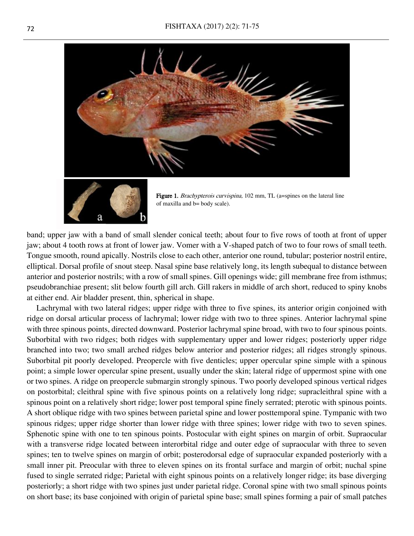



Figure 1. Brachypterois curvispina, 102 mm, TL (a=spines on the lateral line of maxilla and b= body scale).

band; upper jaw with a band of small slender conical teeth; about four to five rows of tooth at front of upper jaw; about 4 tooth rows at front of lower jaw. Vomer with a V-shaped patch of two to four rows of small teeth. Tongue smooth, round apically. Nostrils close to each other, anterior one round, tubular; posterior nostril entire, elliptical. Dorsal profile of snout steep. Nasal spine base relatively long, its length subequal to distance between anterior and posterior nostrils; with a row of small spines. Gill openings wide; gill membrane free from isthmus; pseudobranchiae present; slit below fourth gill arch. Gill rakers in middle of arch short, reduced to spiny knobs at either end. Air bladder present, thin, spherical in shape.

Lachrymal with two lateral ridges; upper ridge with three to five spines, its anterior origin conjoined with ridge on dorsal articular process of lachrymal; lower ridge with two to three spines. Anterior lachrymal spine with three spinous points, directed downward. Posterior lachrymal spine broad, with two to four spinous points. Suborbital with two ridges; both ridges with supplementary upper and lower ridges; posteriorly upper ridge branched into two; two small arched ridges below anterior and posterior ridges; all ridges strongly spinous. Suborbital pit poorly developed. Preopercle with five denticles; upper opercular spine simple with a spinous point; a simple lower opercular spine present, usually under the skin; lateral ridge of uppermost spine with one or two spines. A ridge on preopercle submargin strongly spinous. Two poorly developed spinous vertical ridges on postorbital; cleithral spine with five spinous points on a relatively long ridge; supracleithral spine with a spinous point on a relatively short ridge; lower post temporal spine finely serrated; pterotic with spinous points. A short oblique ridge with two spines between parietal spine and lower posttemporal spine. Tympanic with two spinous ridges; upper ridge shorter than lower ridge with three spines; lower ridge with two to seven spines. Sphenotic spine with one to ten spinous points. Postocular with eight spines on margin of orbit. Supraocular with a transverse ridge located between interorbital ridge and outer edge of supraocular with three to seven spines; ten to twelve spines on margin of orbit; posterodorsal edge of supraocular expanded posteriorly with a small inner pit. Preocular with three to eleven spines on its frontal surface and margin of orbit; nuchal spine fused to single serrated ridge; Parietal with eight spinous points on a relatively longer ridge; its base diverging posteriorly; a short ridge with two spines just under parietal ridge. Coronal spine with two small spinous points on short base; its base conjoined with origin of parietal spine base; small spines forming a pair of small patches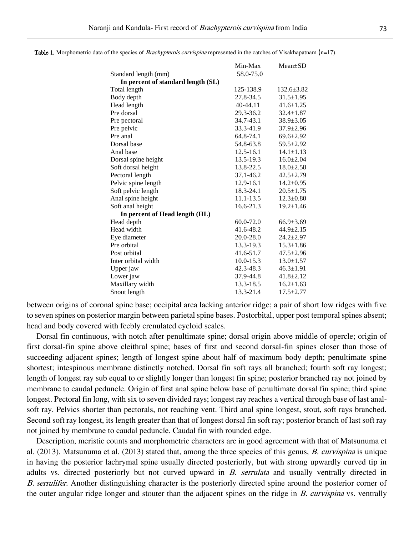|                                    | Min-Max       | $Mean \pm SD$    |
|------------------------------------|---------------|------------------|
| Standard length (mm)               | 58.0-75.0     |                  |
| In percent of standard length (SL) |               |                  |
| Total length                       | 125-138.9     | $132.6 \pm 3.82$ |
| Body depth                         | 27.8-34.5     | $31.5 \pm 1.95$  |
| Head length                        | 40-44.11      | $41.6 \pm 1.25$  |
| Pre dorsal                         | 29.3-36.2     | $32.4 \pm 1.87$  |
| Pre pectoral                       | 34.7-43.1     | $38.9 \pm 3.05$  |
| Pre pelvic                         | 33.3-41.9     | $37.9 \pm 2.96$  |
| Pre anal                           | 64.8-74.1     | $69.6 \pm 2.92$  |
| Dorsal base                        | 54.8-63.8     | $59.5 \pm 2.92$  |
| Anal base                          | $12.5 - 16.1$ | $14.1 \pm 1.13$  |
| Dorsal spine height                | 13.5-19.3     | $16.0 \pm 2.04$  |
| Soft dorsal height                 | 13.8-22.5     | $18.0 \pm 2.58$  |
| Pectoral length                    | 37.1-46.2     | $42.5 \pm 2.79$  |
| Pelvic spine length                | 12.9-16.1     | $14.2 \pm 0.95$  |
| Soft pelvic length                 | 18.3-24.1     | $20.5 \pm 1.75$  |
| Anal spine height                  | 11.1-13.5     | $12.3 \pm 0.80$  |
| Soft anal height                   | 16.6-21.3     | $19.2 \pm 1.46$  |
| In percent of Head length (HL)     |               |                  |
| Head depth                         | $60.0 - 72.0$ | $66.9 \pm 3.69$  |
| Head width                         | 41.6-48.2     | $44.9 \pm 2.15$  |
| Eye diameter                       | 20.0-28.0     | $24.2 \pm 2.97$  |
| Pre orbital                        | 13.3-19.3     | $15.3 \pm 1.86$  |
| Post orbital                       | 41.6-51.7     | $47.5 \pm 2.96$  |
| Inter orbital width                | $10.0 - 15.3$ | $13.0 \pm 1.57$  |
| Upper jaw                          | 42.3-48.3     | $46.3 \pm 1.91$  |
| Lower jaw                          | 37.9-44.8     | $41.8 \pm 2.12$  |
| Maxillary width                    | 13.3-18.5     | $16.2 \pm 1.63$  |
| Snout length                       | 13.3-21.4     | $17.5 \pm 2.77$  |

**Table 1.** Morphometric data of the species of *Brachypterois curvispina* represented in the catches of Visakhapatnam  $(n=17)$ .

between origins of coronal spine base; occipital area lacking anterior ridge; a pair of short low ridges with five to seven spines on posterior margin between parietal spine bases. Postorbital, upper post temporal spines absent; head and body covered with feebly crenulated cycloid scales.

Dorsal fin continuous, with notch after penultimate spine; dorsal origin above middle of opercle; origin of first dorsal-fin spine above cleithral spine; bases of first and second dorsal-fin spines closer than those of succeeding adjacent spines; length of longest spine about half of maximum body depth; penultimate spine shortest; intespinous membrane distinctly notched. Dorsal fin soft rays all branched; fourth soft ray longest; length of longest ray sub equal to or slightly longer than longest fin spine; posterior branched ray not joined by membrane to caudal peduncle. Origin of first anal spine below base of penultimate dorsal fin spine; third spine longest. Pectoral fin long, with six to seven divided rays; longest ray reaches a vertical through base of last analsoft ray. Pelvics shorter than pectorals, not reaching vent. Third anal spine longest, stout, soft rays branched. Second soft ray longest, its length greater than that of longest dorsal fin soft ray; posterior branch of last soft ray not joined by membrane to caudal peduncle. Caudal fin with rounded edge.

Description, meristic counts and morphometric characters are in good agreement with that of Matsunuma et al. (2013). Matsunuma et al. (2013) stated that, among the three species of this genus, B. curvispina is unique in having the posterior lachrymal spine usually directed posteriorly, but with strong upwardly curved tip in adults vs. directed posteriorly but not curved upward in B. serrulata and usually ventrally directed in B. serrulifer. Another distinguishing character is the posteriorly directed spine around the posterior corner of the outer angular ridge longer and stouter than the adjacent spines on the ridge in B. curvispina vs. ventrally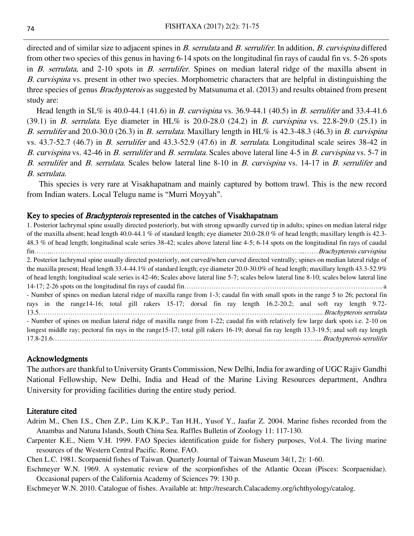directed and of similar size to adjacent spines in B. serrulata and B. serrulifer. In addition, B. curvispina differed from other two species of this genus in having 6-14 spots on the longitudinal fin rays of caudal fin vs. 5-26 spots in B. serrulata, and 2-10 spots in B. serrulifer. Spines on median lateral ridge of the maxilla absent in B. curvispina vs. present in other two species. Morphometric characters that are helpful in distinguishing the three species of genus *Brachypterois* as suggested by Matsunuma et al. (2013) and results obtained from present study are:

Head length in  $SL\%$  is 40.0-44.1 (41.6) in *B. curvispina* vs. 36.9-44.1 (40.5) in *B. serrulifer* and 33.4-41.6 (39.1) in *B. serrulata*. Eye diameter in HL% is 20.0-28.0 (24.2) in *B. curvispina* vs. 22.8-29.0 (25.1) in B. serrulifer and 20.0-30.0 (26.3) in B. serrulata. Maxillary length in HL% is 42.3-48.3 (46.3) in B. curvispina vs. 43.7-52.7 (46.7) in B. serrulifer and 43.3-52.9 (47.6) in B. serrulata. Longitudinal scale seires 38-42 in B. curvispina vs. 42-46 in B. serrulifer and B. serrulata. Scales above lateral line 4-5 in B. curvispina vs. 5-7 in B. serrulifer and B. serrulata. Scales below lateral line 8-10 in B. curvispina vs. 14-17 in B. serrulifer and B. serrulata.

This species is very rare at Visakhapatnam and mainly captured by bottom trawl. This is the new record from Indian waters. Local Telugu name is "Murri Moyyah".

### Key to species of *Brachypterois* represented in the catches of Visakhapatnam

1. Posterior lachrymal spine usually directed posteriorly, but with strong upwardly curved tip in adults; spines on median lateral ridge of the maxilla absent; head length 40.0-44.1 % of standard length; eye diameter 20.0-28.0 % of head length; maxillary length is 42.3- 48.3 % of head length; longitudinal scale series 38-42; scales above lateral line 4-5; 6-14 spots on the longitudinal fin rays of caudal fin……..…………………………………………………………………………………………………..……Brachypterois curvispina 2. Posterior lachrymal spine usually directed posteriorly, not curved/when curved directed ventrally; spines on median lateral ridge of the maxilla present; Head length 33.4-44.1% of standard length; eye diameter 20.0-30.0% of head length; maxillary length 43.3-52.9% of head length; longitudinal scale series is 42-46; Scales above lateral line 5-7; scales below lateral line 8-10; scales below lateral line 14-17; 2-26 spots on the longitudinal fin rays of caudal fin……………………………………………………………………………. a - Number of spines on median lateral ridge of maxilla range from 1-3; caudal fin with small spots in the range 5 to 26; pectoral fin rays in the range14-16; total gill rakers 15-17; dorsal fin ray length 16.2-20.2; anal soft ray length 9.72- 13.5……………………….……………………………………………………………………...…………….... Brachypterois serrulata - Number of spines on median lateral ridge of maxilla range from 1-22; caudal fin with relatively few large dark spots i.e. 2-10 on longest middle ray; pectoral fin rays in the range15-17; total gill rakers 16-19; dorsal fin ray length 13.3-19.5; anal soft ray length 17.8-21.6…………………………………………………………………………………….…..…………….... Brachypterois serrulifer

#### Acknowledgments

The authors are thankful to University Grants Commission, New Delhi, India for awarding of UGC Rajiv Gandhi National Fellowship, New Delhi, India and Head of the Marine Living Resources department, Andhra University for providing facilities during the entire study period.

### Literature cited

- Adrim M., Chen I.S., Chen Z.P., Lim K.K.P., Tan H.H., Yusof Y., Jaafar Z. 2004. Marine fishes recorded from the Anambas and Natuna Islands, South China Sea. Raffles Bulletin of Zoology 11: 117-130.
- Carpenter K.E., Niem V.H. 1999. FAO Species identification guide for fishery purposes, Vol.4. The living marine resources of the Western Central Pacific. Rome. FAO.
- Chen L.C. 1981. Scorpaenid fishes of Taiwan. Quarterly Journal of Taiwan Museum 34(1, 2): 1-60.
- Eschmeyer W.N. 1969. A systematic review of the scorpionfishes of the Atlantic Ocean (Pisces: Scorpaenidae). Occasional papers of the California Academy of Sciences 79: 130 p.

Eschmeyer W.N. 2010. Catalogue of fishes. Available at: http://research.Calacademy.org/ichthyology/catalog.